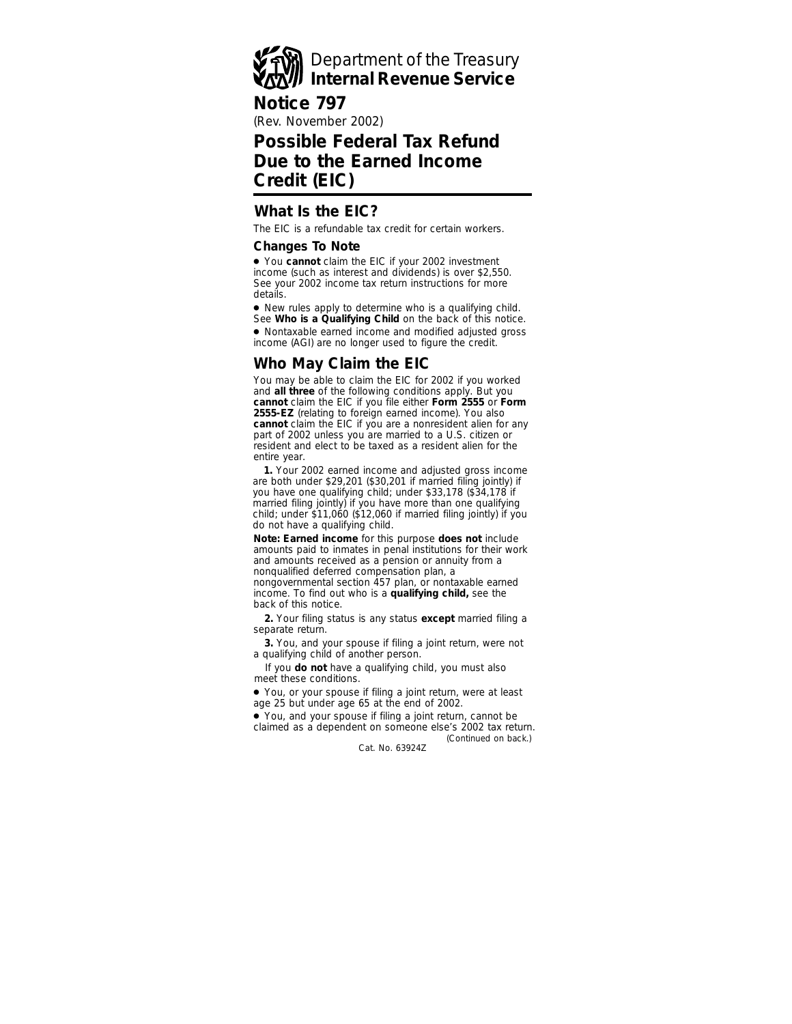# Department of the Treasury **Internal Revenue Service**

#### **Notice 797**

(Rev. November 2002)

# **Possible Federal Tax Refund Due to the Earned Income Credit (EIC)**

### **What Is the EIC?**

The EIC is a refundable tax credit for certain workers.

#### **Changes To Note**

● You **cannot** claim the EIC if your 2002 investment income (such as interest and dividends) is over \$2,550. See your 2002 income tax return instructions for more details.

● New rules apply to determine who is a qualifying child. See **Who is a Qualifying Child** on the back of this notice.

● Nontaxable earned income and modified adjusted gross income (AGI) are no longer used to figure the credit.

## **Who May Claim the EIC**

You may be able to claim the EIC for 2002 if you worked and **all three** of the following conditions apply. But you **cannot** claim the EIC if you file either **Form 2555** or **Form 2555-EZ** (relating to foreign earned income). You also **cannot** claim the EIC if you are a nonresident alien for any part of 2002 unless you are married to a U.S. citizen or resident and elect to be taxed as a resident alien for the entire year.

**1.** Your 2002 earned income and adjusted gross income are both under \$29,201 (\$30,201 if married filing jointly) if you have one qualifying child; under \$33,178 (\$34,178 if married filing jointly) if you have more than one qualifying child; under \$11,060 (\$12,060 if married filing jointly) if you do not have a qualifying child.

**Note:** *Earned income for this purpose does not include amounts paid to inmates in penal institutions for their work and amounts received as a pension or annuity from a nonqualified deferred compensation plan, a nongovernmental section 457 plan, or nontaxable earned income. To find out who is a qualifying child, see the back of this notice.*

**2.** Your filing status is any status **except** married filing a separate return.

**3.** You, and your spouse if filing a joint return, were not a qualifying child of another person.

If you **do not** have a qualifying child, you must also meet these conditions.

● You, or your spouse if filing a joint return, were at least age 25 but under age 65 at the end of 2002.

*(Continued on back.)* ● You, and your spouse if filing a joint return, cannot be claimed as a dependent on someone else's 2002 tax return.

Cat. No. 63924Z